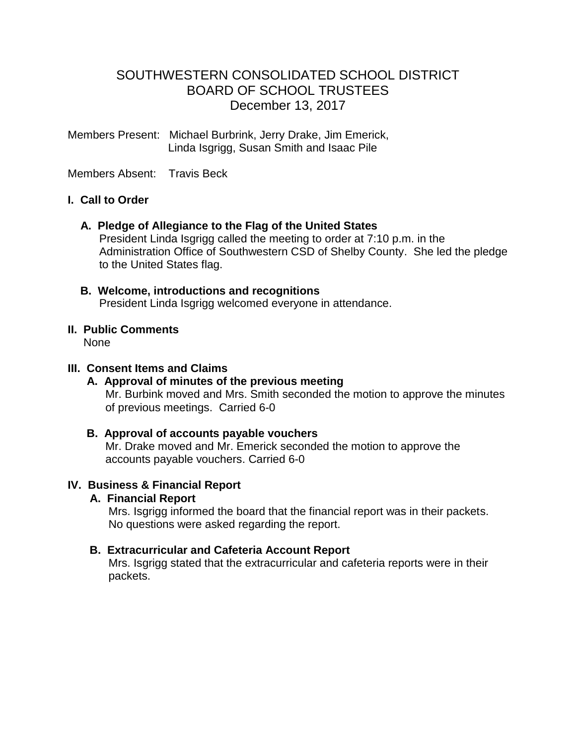# SOUTHWESTERN CONSOLIDATED SCHOOL DISTRICT BOARD OF SCHOOL TRUSTEES December 13, 2017

Members Present: Michael Burbrink, Jerry Drake, Jim Emerick, Linda Isgrigg, Susan Smith and Isaac Pile

Members Absent: Travis Beck

### **I. Call to Order**

 **A. Pledge of Allegiance to the Flag of the United States**

 President Linda Isgrigg called the meeting to order at 7:10 p.m. in the Administration Office of Southwestern CSD of Shelby County. She led the pledge to the United States flag.

 **B. Welcome, introductions and recognitions** President Linda Isgrigg welcomed everyone in attendance.

#### **II. Public Comments** None

#### **III. Consent Items and Claims**

 **A. Approval of minutes of the previous meeting** Mr. Burbink moved and Mrs. Smith seconded the motion to approve the minutes of previous meetings. Carried 6-0

### **B. Approval of accounts payable vouchers**

 Mr. Drake moved and Mr. Emerick seconded the motion to approve the accounts payable vouchers. Carried 6-0

#### **IV. Business & Financial Report**

#### **A. Financial Report**

 Mrs. Isgrigg informed the board that the financial report was in their packets. No questions were asked regarding the report.

#### **B. Extracurricular and Cafeteria Account Report**

Mrs. Isgrigg stated that the extracurricular and cafeteria reports were in their packets.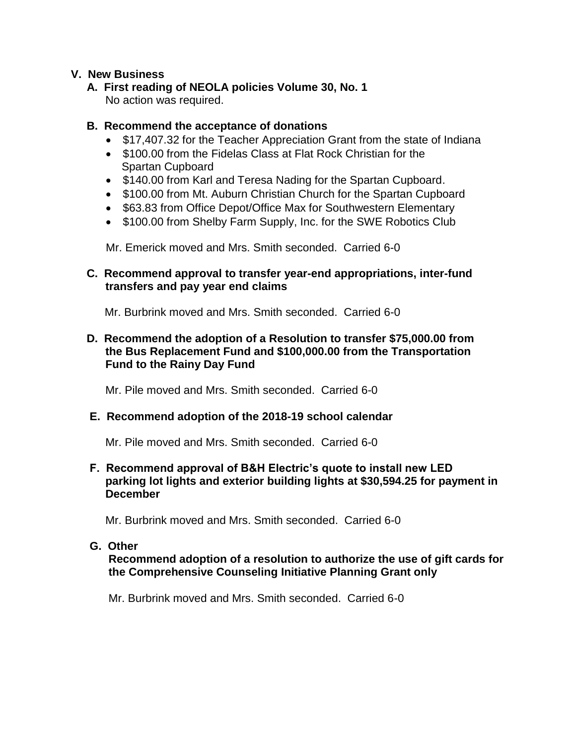### **V. New Business**

# **A. First reading of NEOLA policies Volume 30, No. 1**

No action was required.

## **B. Recommend the acceptance of donations**

- \$17,407.32 for the Teacher Appreciation Grant from the state of Indiana
- \$100.00 from the Fidelas Class at Flat Rock Christian for the Spartan Cupboard
- \$140.00 from Karl and Teresa Nading for the Spartan Cupboard.
- \$100.00 from Mt. Auburn Christian Church for the Spartan Cupboard
- \$63.83 from Office Depot/Office Max for Southwestern Elementary
- \$100.00 from Shelby Farm Supply, Inc. for the SWE Robotics Club

Mr. Emerick moved and Mrs. Smith seconded. Carried 6-0

## **C. Recommend approval to transfer year-end appropriations, inter-fund transfers and pay year end claims**

Mr. Burbrink moved and Mrs. Smith seconded. Carried 6-0

### **D. Recommend the adoption of a Resolution to transfer \$75,000.00 from the Bus Replacement Fund and \$100,000.00 from the Transportation Fund to the Rainy Day Fund**

Mr. Pile moved and Mrs. Smith seconded. Carried 6-0

# **E. Recommend adoption of the 2018-19 school calendar**

Mr. Pile moved and Mrs. Smith seconded. Carried 6-0

### **F. Recommend approval of B&H Electric's quote to install new LED parking lot lights and exterior building lights at \$30,594.25 for payment in December**

Mr. Burbrink moved and Mrs. Smith seconded. Carried 6-0

### **G. Other**

 **Recommend adoption of a resolution to authorize the use of gift cards for the Comprehensive Counseling Initiative Planning Grant only**

Mr. Burbrink moved and Mrs. Smith seconded. Carried 6-0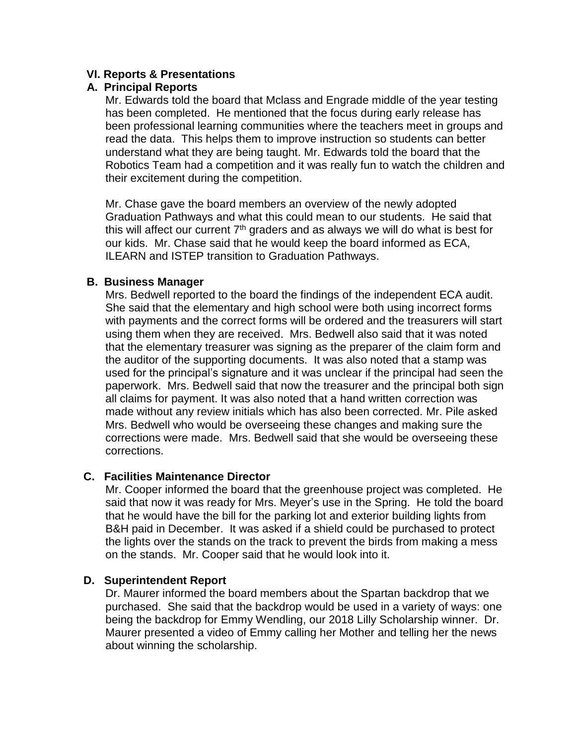### **VI. Reports & Presentations**

### **A. Principal Reports**

Mr. Edwards told the board that Mclass and Engrade middle of the year testing has been completed. He mentioned that the focus during early release has been professional learning communities where the teachers meet in groups and read the data. This helps them to improve instruction so students can better understand what they are being taught. Mr. Edwards told the board that the Robotics Team had a competition and it was really fun to watch the children and their excitement during the competition.

 Mr. Chase gave the board members an overview of the newly adopted Graduation Pathways and what this could mean to our students. He said that this will affect our current  $7<sup>th</sup>$  graders and as always we will do what is best for our kids. Mr. Chase said that he would keep the board informed as ECA, ILEARN and ISTEP transition to Graduation Pathways.

### **B. Business Manager**

Mrs. Bedwell reported to the board the findings of the independent ECA audit. She said that the elementary and high school were both using incorrect forms with payments and the correct forms will be ordered and the treasurers will start using them when they are received. Mrs. Bedwell also said that it was noted that the elementary treasurer was signing as the preparer of the claim form and the auditor of the supporting documents. It was also noted that a stamp was used for the principal's signature and it was unclear if the principal had seen the paperwork. Mrs. Bedwell said that now the treasurer and the principal both sign all claims for payment. It was also noted that a hand written correction was made without any review initials which has also been corrected. Mr. Pile asked Mrs. Bedwell who would be overseeing these changes and making sure the corrections were made. Mrs. Bedwell said that she would be overseeing these corrections.

# **C. Facilities Maintenance Director**

 Mr. Cooper informed the board that the greenhouse project was completed. He said that now it was ready for Mrs. Meyer's use in the Spring. He told the board that he would have the bill for the parking lot and exterior building lights from B&H paid in December. It was asked if a shield could be purchased to protect the lights over the stands on the track to prevent the birds from making a mess on the stands. Mr. Cooper said that he would look into it.

### **D. Superintendent Report**

 Dr. Maurer informed the board members about the Spartan backdrop that we purchased. She said that the backdrop would be used in a variety of ways: one being the backdrop for Emmy Wendling, our 2018 Lilly Scholarship winner. Dr. Maurer presented a video of Emmy calling her Mother and telling her the news about winning the scholarship.